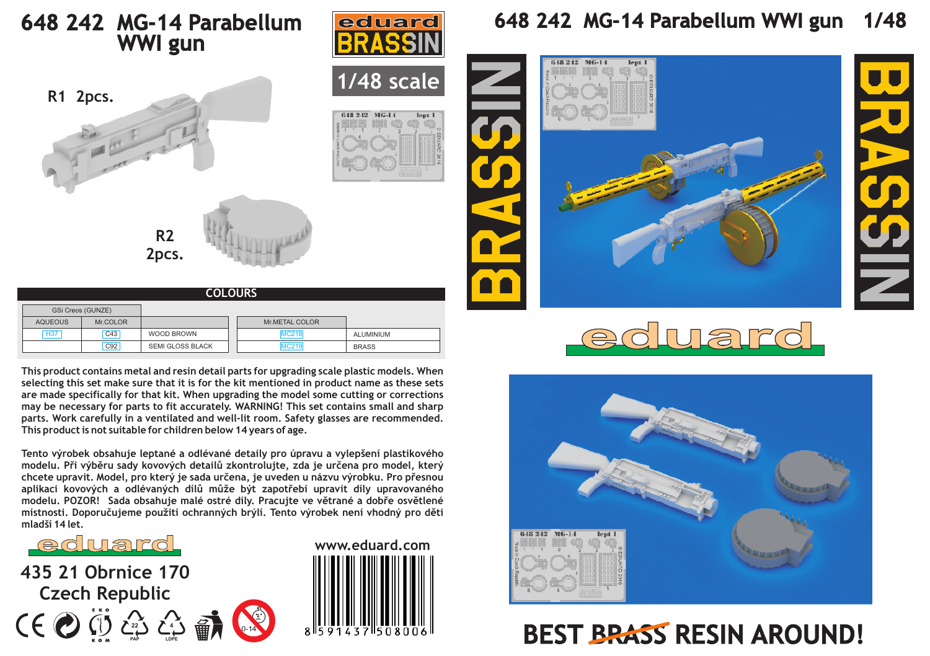## **648 242 MG-14 Parabellum WWI gun**



| <b>COLOURS</b>    |          |                         |  |                  |              |  |
|-------------------|----------|-------------------------|--|------------------|--------------|--|
| GSi Creos (GUNZE) |          |                         |  |                  |              |  |
| <b>AQUEOUS</b>    | Mr.COLOR |                         |  | Mr.METAL COLOR   |              |  |
| <b>H37</b>        | C43      | WOOD BROWN              |  | <b>MC218</b>     | ALUMINIUM    |  |
|                   | C92      | <b>SEMI GLOSS BLACK</b> |  | MC <sub>21</sub> | <b>BRASS</b> |  |

**This product contains metal and resin detail parts for upgrading scale plastic models. When selecting this set make sure that it is for the kit mentioned in product name as these sets are made specifically for that kit. When upgrading the model some cutting or corrections may be necessary for parts to fit accurately. WARNING! This set contains small and sharp parts. Work carefully in a ventilated and well-lit room. Safety glasses are recommended. This product is not suitable for children below 14 years of age.**

**Tento výrobek obsahuje leptané a odlévané detaily pro úpravu a vylepšení plastikového modelu. Pøi výbìru sady kovových detailù zkontrolujte, zda je urèena pro model, který**  chcete upravit. Model, pro který je sada určena, je uveden u názvu výrobku. Pro přesnou aplikaci kovových a odlévaných dílů může být zapotřebí upravit díly upravovaného modelu. POZOR! Sada obsahuje malé ostré díly. Pracujte ve větrané a dobře osvětlené **místnosti. Doporuèujeme použití ochranných brýlí. Tento výrobek není vhodný pro dìti mladší 14 let.**

0-14

eduard

**435 21 Obrnice 170 Czech Republic 4 22**

**PAP**

**LDPE**



**1/48 scale**

lent<sub>1</sub>

0.40.9.49 MC-14

eduard

## **648 242 MG-14 Parabellum WWI gun 1/48**